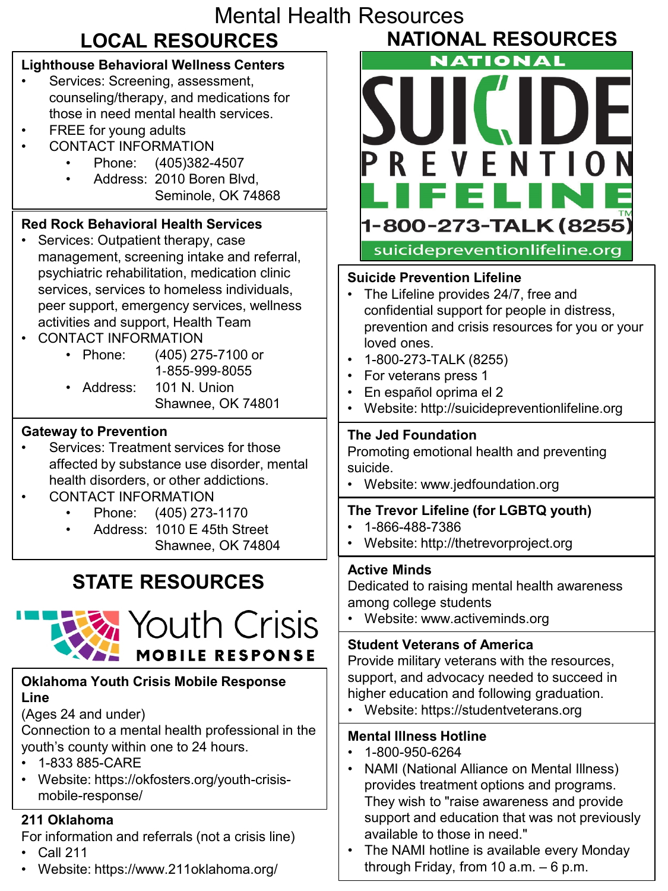| <b>Mental Health Resources</b>                                                                                                                                                                                                                                                                                          |                                                                                                                                                                                                                                                                                                                                                                               |
|-------------------------------------------------------------------------------------------------------------------------------------------------------------------------------------------------------------------------------------------------------------------------------------------------------------------------|-------------------------------------------------------------------------------------------------------------------------------------------------------------------------------------------------------------------------------------------------------------------------------------------------------------------------------------------------------------------------------|
| <b>LOCAL RESOURCES</b>                                                                                                                                                                                                                                                                                                  | <b>NATIONAL RESOURCES</b>                                                                                                                                                                                                                                                                                                                                                     |
| <b>Lighthouse Behavioral Wellness Centers</b><br>Services: Screening, assessment,<br>counseling/therapy, and medications for<br>those in need mental health services.<br>FREE for young adults<br><b>CONTACT INFORMATION</b><br>(405)382-4507<br>Phone:<br>Address: 2010 Boren Blvd,<br>$\bullet$<br>Seminole, OK 74868 | <b>NATIONAL</b><br>PREVENTION<br>IFELI<br>- 1                                                                                                                                                                                                                                                                                                                                 |
| <b>Red Rock Behavioral Health Services</b><br>Services: Outpatient therapy, case<br>management, screening intake and referral,                                                                                                                                                                                          | 1-800-273-TALK (8255)<br>suicidepreventionlifeline.org                                                                                                                                                                                                                                                                                                                        |
| psychiatric rehabilitation, medication clinic<br>services, services to homeless individuals,<br>peer support, emergency services, wellness<br>activities and support, Health Team<br><b>CONTACT INFORMATION</b><br>• Phone:<br>(405) 275-7100 or<br>1-855-999-8055<br>Address:<br>101 N. Union<br>Shawnee, OK 74801     | <b>Suicide Prevention Lifeline</b><br>The Lifeline provides 24/7, free and<br>confidential support for people in distress,<br>prevention and crisis resources for you or your<br>loved ones.<br>1-800-273-TALK (8255)<br>For veterans press 1<br>En español oprima el 2<br>Website: http://suicidepreventionlifeline.org                                                      |
| <b>Gateway to Prevention</b><br>Services: Treatment services for those<br>affected by substance use disorder, mental<br>health disorders, or other addictions.<br><b>CONTACT INFORMATION</b>                                                                                                                            | <b>The Jed Foundation</b><br>Promoting emotional health and preventing<br>suicide.<br>Website: www.jedfoundation.org                                                                                                                                                                                                                                                          |
| Phone: (405) 273-1170<br>Address: 1010 E 45th Street<br>Shawnee, OK 74804                                                                                                                                                                                                                                               | The Trevor Lifeline (for LGBTQ youth)<br>1-866-488-7386<br>Website: http://thetrevorproject.org                                                                                                                                                                                                                                                                               |
| <b>STATE RESOURCES</b><br><b>K</b> Youth Crisis                                                                                                                                                                                                                                                                         | <b>Active Minds</b><br>Dedicated to raising mental health awareness<br>among college students<br>Website: www.activeminds.org                                                                                                                                                                                                                                                 |
| <b>MOBILE RESPONSE</b>                                                                                                                                                                                                                                                                                                  | <b>Student Veterans of America</b><br>Provide military veterans with the resources,                                                                                                                                                                                                                                                                                           |
| <b>Oklahoma Youth Crisis Mobile Response</b><br>Line<br>(Ages 24 and under)                                                                                                                                                                                                                                             | support, and advocacy needed to succeed in<br>higher education and following graduation.<br>Website: https://studentveterans.org                                                                                                                                                                                                                                              |
| Connection to a mental health professional in the<br>youth's county within one to 24 hours.<br>1-833 885-CARE<br>Website: https://okfosters.org/youth-crisis-<br>mobile-response/                                                                                                                                       | <b>Mental Illness Hotline</b><br>1-800-950-6264<br>NAMI (National Alliance on Mental Illness)<br>provides treatment options and programs.<br>They wish to "raise awareness and provide<br>support and education that was not previously<br>available to those in need."<br>The NAMI hotline is available every Monday<br>$\bullet$<br>through Friday, from 10 $a.m. - 6 p.m.$ |
| 211 Oklahoma<br>For information and referrals (not a crisis line)<br><b>Call 211</b><br>Website: https://www.211oklahoma.org/                                                                                                                                                                                           |                                                                                                                                                                                                                                                                                                                                                                               |